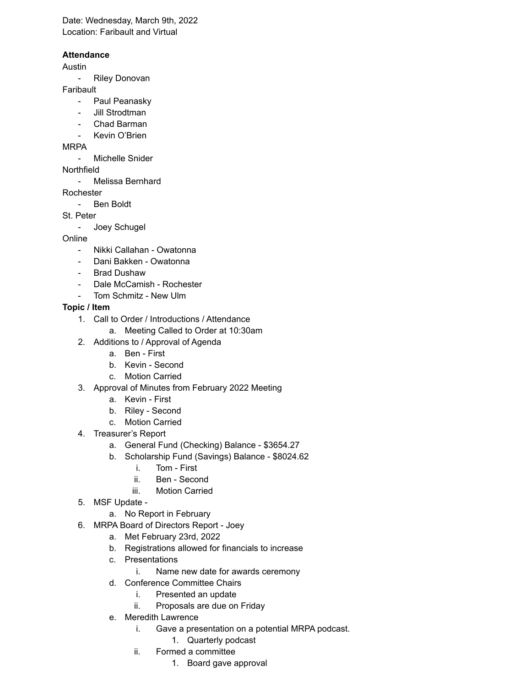Date: Wednesday, March 9th, 2022 Location: Faribault and Virtual

#### **Attendance**

#### Austin

- Riley Donovan

#### **Faribault**

- Paul Peanasky
- Jill Strodtman
- Chad Barman
- Kevin O'Brien

### MRPA

- Michelle Snider

## Northfield

- Melissa Bernhard

Rochester

- Ben Boldt

## St. Peter

- Joey Schugel

# Online

- Nikki Callahan Owatonna
- Dani Bakken Owatonna
- **Brad Dushaw**
- Dale McCamish Rochester
- Tom Schmitz New Ulm

## **Topic / Item**

- 1. Call to Order / Introductions / Attendance
	- a. Meeting Called to Order at 10:30am
- 2. Additions to / Approval of Agenda
	- a. Ben First
	- b. Kevin Second
	- c. Motion Carried
- 3. Approval of Minutes from February 2022 Meeting
	- a. Kevin First
	- b. Riley Second
	- c. Motion Carried
- 4. Treasurer's Report
	- a. General Fund (Checking) Balance \$3654.27
	- b. Scholarship Fund (Savings) Balance \$8024.62
		- i. Tom First
		- ii. Ben Second
		- iii. Motion Carried
- 5. MSF Update -

a. No Report in February

- 6. MRPA Board of Directors Report Joey
	- a. Met February 23rd, 2022
	- b. Registrations allowed for financials to increase
	- c. Presentations
		- i. Name new date for awards ceremony
	- d. Conference Committee Chairs
		- i. Presented an update
		- ii. Proposals are due on Friday
	- e. Meredith Lawrence
		- i. Gave a presentation on a potential MRPA podcast.
			- 1. Quarterly podcast
		- ii. Formed a committee
			- 1. Board gave approval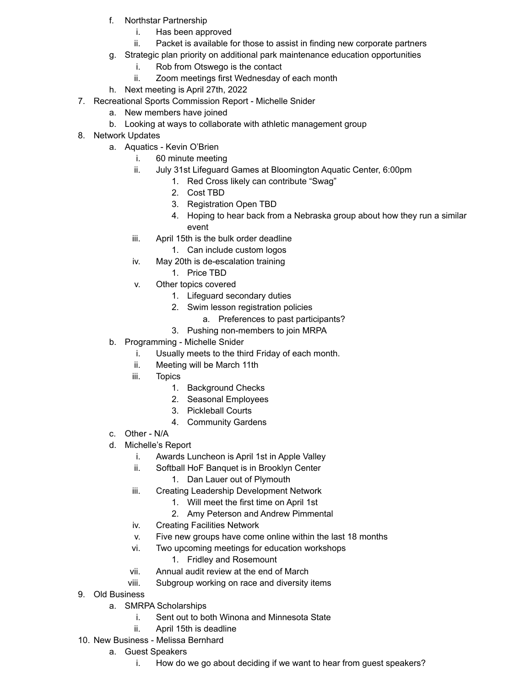- f. Northstar Partnership
	- i. Has been approved
	- ii. Packet is available for those to assist in finding new corporate partners
- g. Strategic plan priority on additional park maintenance education opportunities
	- i. Rob from Otswego is the contact
	- ii. Zoom meetings first Wednesday of each month
- h. Next meeting is April 27th, 2022
- 7. Recreational Sports Commission Report Michelle Snider
	- a. New members have joined
	- b. Looking at ways to collaborate with athletic management group
- 8. Network Updates
	- a. Aquatics Kevin O'Brien
		- i. 60 minute meeting
		- ii. July 31st Lifeguard Games at Bloomington Aquatic Center, 6:00pm
			- 1. Red Cross likely can contribute "Swag"
				- 2. Cost TBD
				- 3. Registration Open TBD
				- 4. Hoping to hear back from a Nebraska group about how they run a similar event
		- iii. April 15th is the bulk order deadline
			- 1. Can include custom logos
		- iv. May 20th is de-escalation training
			- 1. Price TBD
		- v. Other topics covered
			- 1. Lifeguard secondary duties
			- 2. Swim lesson registration policies
				- a. Preferences to past participants?
			- 3. Pushing non-members to join MRPA
	- b. Programming Michelle Snider
		- i. Usually meets to the third Friday of each month.
		- ii. Meeting will be March 11th
		- iii. Topics
			- 1. Background Checks
			- 2. Seasonal Employees
			- 3. Pickleball Courts
			- 4. Community Gardens
	- c. Other N/A
	- d. Michelle's Report
		- i. Awards Luncheon is April 1st in Apple Valley
		- ii. Softball HoF Banquet is in Brooklyn Center
			- 1. Dan Lauer out of Plymouth
		- iii. Creating Leadership Development Network
			- 1. Will meet the first time on April 1st
			- 2. Amy Peterson and Andrew Pimmental
		- iv. Creating Facilities Network
		- v. Five new groups have come online within the last 18 months
		- vi. Two upcoming meetings for education workshops
			- 1. Fridley and Rosemount
		- vii. Annual audit review at the end of March
		- viii. Subgroup working on race and diversity items
- 9. Old Business
	- a. SMRPA Scholarships
		- i. Sent out to both Winona and Minnesota State
		- ii. April 15th is deadline
- 10. New Business Melissa Bernhard
	- a. Guest Speakers
		- i. How do we go about deciding if we want to hear from guest speakers?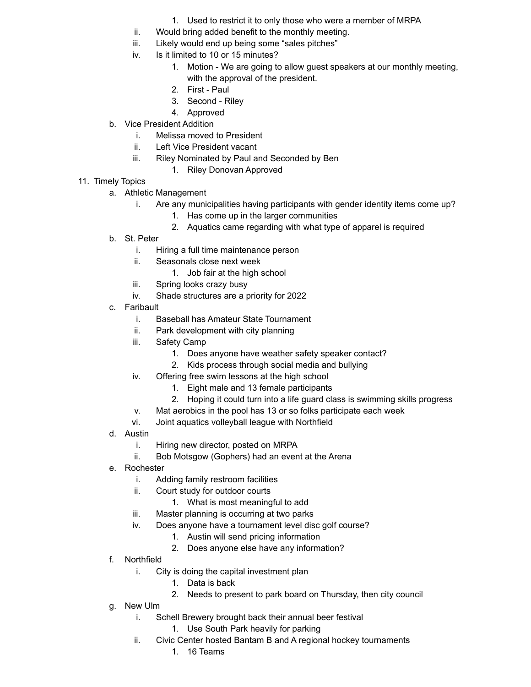- 1. Used to restrict it to only those who were a member of MRPA
- ii. Would bring added benefit to the monthly meeting.
- iii. Likely would end up being some "sales pitches"
- iv. Is it limited to 10 or 15 minutes?
	- 1. Motion We are going to allow guest speakers at our monthly meeting, with the approval of the president.
	- 2. First Paul
	- 3. Second Riley
	- 4. Approved
- b. Vice President Addition
	- i. Melissa moved to President
	- ii. Left Vice President vacant
	- iii. Riley Nominated by Paul and Seconded by Ben
		- 1. Riley Donovan Approved
- 11. Timely Topics
	- a. Athletic Management
		- i. Are any municipalities having participants with gender identity items come up?
			- 1. Has come up in the larger communities
			- 2. Aquatics came regarding with what type of apparel is required
	- b. St. Peter
		- i. Hiring a full time maintenance person
		- ii. Seasonals close next week
			- 1. Job fair at the high school
		- iii. Spring looks crazy busy
		- iv. Shade structures are a priority for 2022
	- c. Faribault
		- i. Baseball has Amateur State Tournament
		- ii. Park development with city planning
		- iii. Safety Camp
			- 1. Does anyone have weather safety speaker contact?
			- 2. Kids process through social media and bullying
		- iv. Offering free swim lessons at the high school
			- 1. Eight male and 13 female participants
			- 2. Hoping it could turn into a life guard class is swimming skills progress
		- v. Mat aerobics in the pool has 13 or so folks participate each week
		- vi. Joint aquatics volleyball league with Northfield
	- d. Austin
		- i. Hiring new director, posted on MRPA
		- ii. Bob Motsgow (Gophers) had an event at the Arena
	- e. Rochester
		- i. Adding family restroom facilities
		- ii. Court study for outdoor courts
			- 1. What is most meaningful to add
		- iii. Master planning is occurring at two parks
		- iv. Does anyone have a tournament level disc golf course?
			- 1. Austin will send pricing information
			- 2. Does anyone else have any information?
	- f. Northfield
		- i. City is doing the capital investment plan
			- 1. Data is back
			- 2. Needs to present to park board on Thursday, then city council
	- g. New Ulm
		- i. Schell Brewery brought back their annual beer festival
			- 1. Use South Park heavily for parking
		- ii. Civic Center hosted Bantam B and A regional hockey tournaments
			- 1. 16 Teams